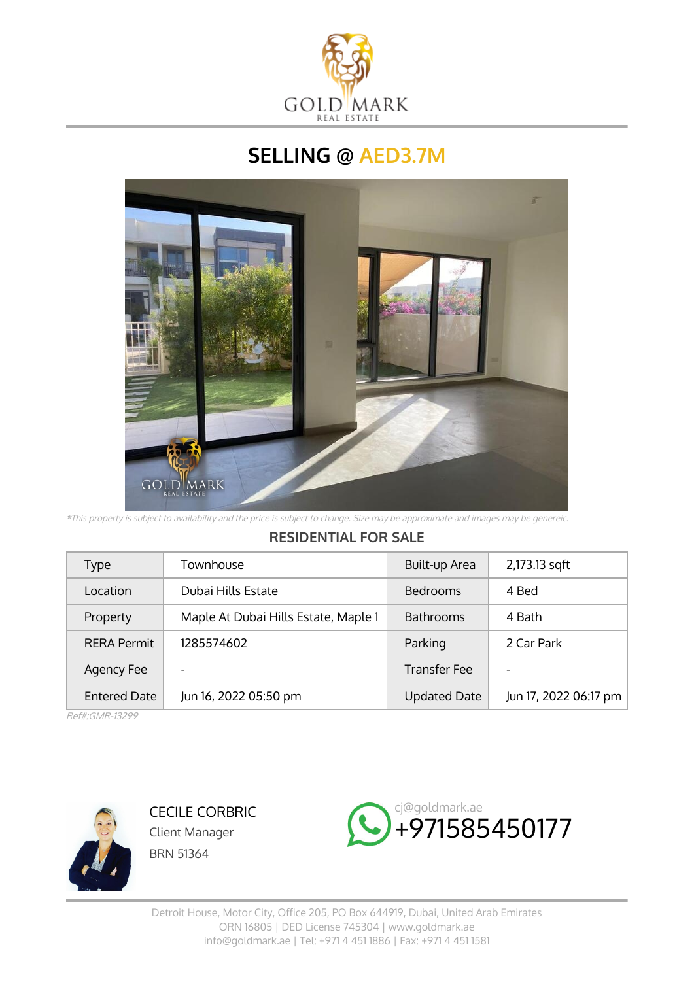

## **SELLING @ AED3.7M**



\*This property is subject to availability and the price is subject to change. Size may be approximate and images may be genereic.

## **RESIDENTIAL FOR SALE**

| Type                | Townhouse                            | Built-up Area       | 2,173.13 sqft         |
|---------------------|--------------------------------------|---------------------|-----------------------|
| Location            | Dubai Hills Estate                   | <b>Bedrooms</b>     | 4 Bed                 |
| Property            | Maple At Dubai Hills Estate, Maple 1 | <b>Bathrooms</b>    | 4 Bath                |
| <b>RERA Permit</b>  | 1285574602                           | Parking             | 2 Car Park            |
| Agency Fee          |                                      | <b>Transfer Fee</b> |                       |
| <b>Entered Date</b> | Jun 16, 2022 05:50 pm                | <b>Updated Date</b> | Jun 17, 2022 06:17 pm |

Ref#:GMR-13299



CECILE CORBRIC Client Manager BRN 51364

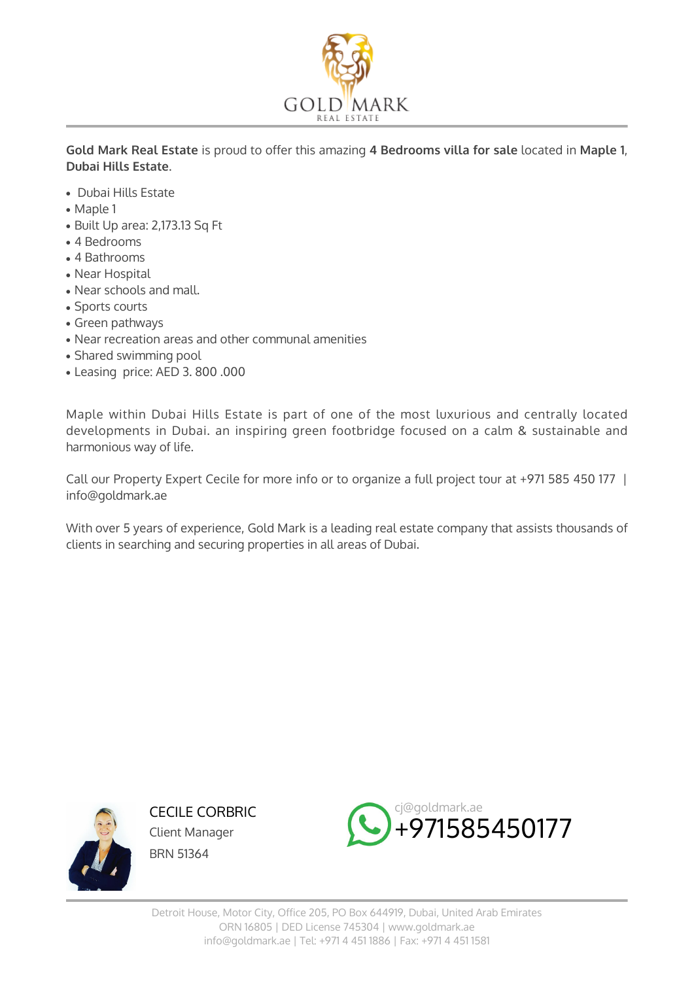

**Gold Mark Real Estate** is proud to offer this amazing **4 Bedrooms villa for sale** located in **Maple 1**, **Dubai Hills Estate**.

- Dubai Hills Estate
- Maple 1
- Built Up area: 2,173.13 Sq Ft
- 4 Bedrooms
- 4 Bathrooms
- Near Hospital
- Near schools and mall.
- Sports courts
- Green pathways
- Near recreation areas and other communal amenities
- Shared swimming pool
- Leasing price: AED 3.800 .000

Maple within Dubai Hills Estate is part of one of the most luxurious and centrally located developments in Dubai. an inspiring green footbridge focused on a calm & sustainable and harmonious way of life.

Call our Property Expert Cecile for more info or to organize a full project tour at +971 585 450 177 | info@goldmark.ae

With over 5 years of experience, Gold Mark is a leading real estate company that assists thousands of clients in searching and securing properties in all areas of Dubai.



CECILE CORBRIC Client Manager BRN 51364